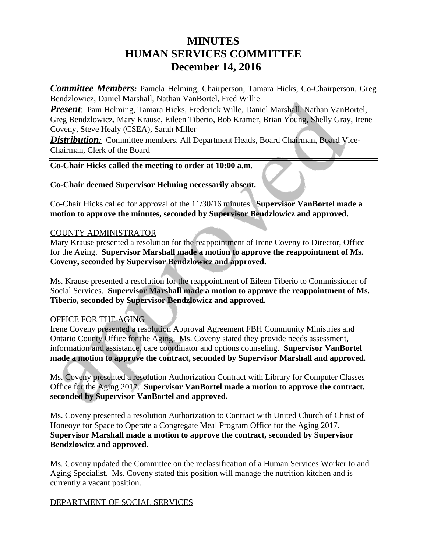# **MINUTES HUMAN SERVICES COMMITTEE December 14, 2016**

*Committee Members:* Pamela Helming, Chairperson, Tamara Hicks, Co-Chairperson, Greg Bendzlowicz, Daniel Marshall, Nathan VanBortel, Fred Willie

*Present*: Pam Helming, Tamara Hicks, Frederick Wille, Daniel Marshall, Nathan VanBortel, Greg Bendzlowicz, Mary Krause, Eileen Tiberio, Bob Kramer, Brian Young, Shelly Gray, Irene Coveny, Steve Healy (CSEA), Sarah Miller

**Distribution:** Committee members, All Department Heads, Board Chairman, Board Vice-Chairman, Clerk of the Board

### **Co-Chair Hicks called the meeting to order at 10:00 a.m.**

## **Co-Chair deemed Supervisor Helming necessarily absent.**

Co-Chair Hicks called for approval of the 11/30/16 minutes. **Supervisor VanBortel made a motion to approve the minutes, seconded by Supervisor Bendzlowicz and approved.** 

### COUNTY ADMINISTRATOR

Mary Krause presented a resolution for the reappointment of Irene Coveny to Director, Office for the Aging. **Supervisor Marshall made a motion to approve the reappointment of Ms. Coveny, seconded by Supervisor Bendzlowicz and approved.**

Ms. Krause presented a resolution for the reappointment of Eileen Tiberio to Commissioner of Social Services. **Supervisor Marshall made a motion to approve the reappointment of Ms. Tiberio, seconded by Supervisor Bendzlowicz and approved.**

# OFFICE FOR THE AGING

Irene Coveny presented a resolution Approval Agreement FBH Community Ministries and Ontario County Office for the Aging. Ms. Coveny stated they provide needs assessment, information and assistance, care coordinator and options counseling. **Supervisor VanBortel made a motion to approve the contract, seconded by Supervisor Marshall and approved.**

Ms. Coveny presented a resolution Authorization Contract with Library for Computer Classes Office for the Aging 2017. **Supervisor VanBortel made a motion to approve the contract, seconded by Supervisor VanBortel and approved.**

Ms. Coveny presented a resolution Authorization to Contract with United Church of Christ of Honeoye for Space to Operate a Congregate Meal Program Office for the Aging 2017. **Supervisor Marshall made a motion to approve the contract, seconded by Supervisor Bendzlowicz and approved.**

Ms. Coveny updated the Committee on the reclassification of a Human Services Worker to and Aging Specialist. Ms. Coveny stated this position will manage the nutrition kitchen and is currently a vacant position.

# DEPARTMENT OF SOCIAL SERVICES